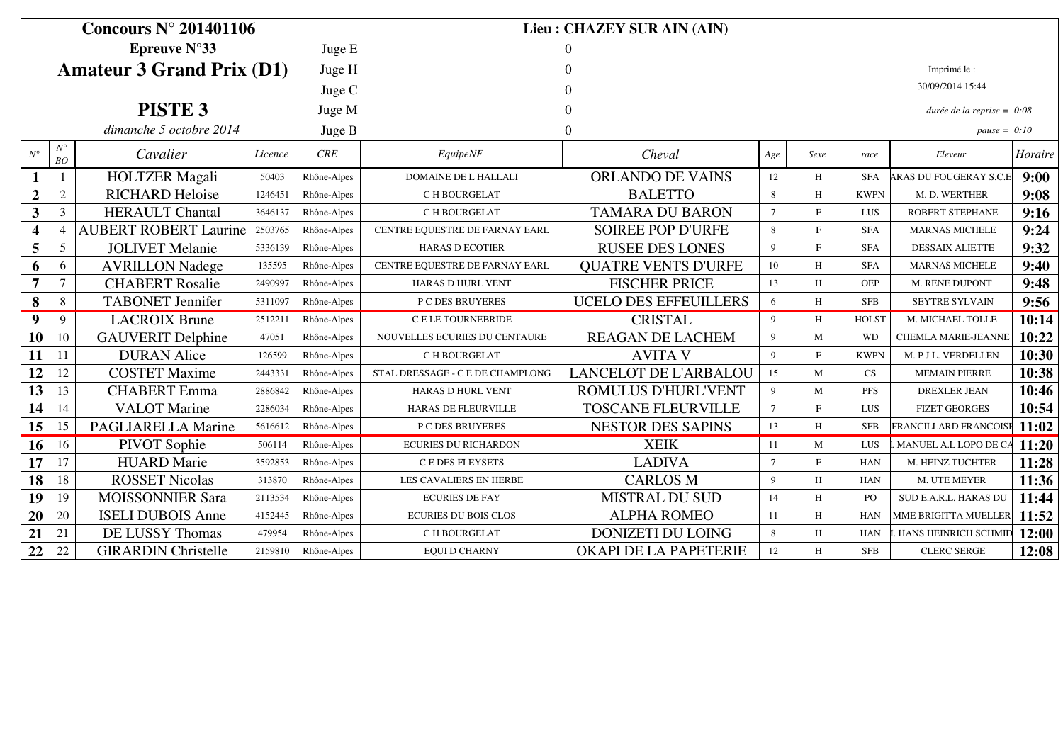| Concours $N^{\circ}$ 201401106   |                |                              |         |             | Lieu: CHAZEY SUR AIN (AIN)       |                              |                |              |                |                              |         |  |
|----------------------------------|----------------|------------------------------|---------|-------------|----------------------------------|------------------------------|----------------|--------------|----------------|------------------------------|---------|--|
| Epreuve $N^{\circ}33$            |                |                              |         | Juge E      |                                  |                              |                |              |                |                              |         |  |
| <b>Amateur 3 Grand Prix (D1)</b> |                |                              |         | Juge H      |                                  |                              |                |              |                | Imprimé le :                 |         |  |
|                                  |                |                              |         | Juge C      |                                  |                              |                |              |                | 30/09/2014 15:44             |         |  |
|                                  |                | PISTE <sub>3</sub>           |         | Juge M      |                                  |                              |                |              |                | durée de la reprise = $0.08$ |         |  |
|                                  |                | dimanche 5 octobre 2014      |         |             |                                  |                              |                |              | pause = $0:10$ |                              |         |  |
|                                  | $N^{\circ}$    |                              |         | Juge B      |                                  |                              |                |              |                |                              |         |  |
| $N^{\circ}$                      | BO             | Cavalier                     | Licence | CRE         | EquipeNF                         | Cheval                       | Age            | Sexe         | race           | Eleveur                      | Horaire |  |
| 1                                |                | <b>HOLTZER</b> Magali        | 50403   | Rhône-Alpes | <b>DOMAINE DE L HALLALI</b>      | <b>ORLANDO DE VAINS</b>      |                | H            | <b>SFA</b>     | ARAS DU FOUGERAY S.C.E       | 9:00    |  |
| $\boldsymbol{2}$                 | 2              | <b>RICHARD Heloise</b>       | 1246451 | Rhône-Alpes | C H BOURGELAT                    | <b>BALETTO</b>               | 8              | H            | <b>KWPN</b>    | M. D. WERTHER                | 9:08    |  |
| $\mathbf{3}$                     | 3              | <b>HERAULT Chantal</b>       | 3646137 | Rhône-Alpes | C H BOURGELAT                    | <b>TAMARA DU BARON</b>       |                | $\mathbf{F}$ | <b>LUS</b>     | <b>ROBERT STEPHANE</b>       | 9:16    |  |
| $\overline{\mathbf{4}}$          | $\overline{4}$ | <b>AUBERT ROBERT Laurine</b> | 2503765 | Rhône-Alpes | CENTRE EQUESTRE DE FARNAY EARL   | <b>SOIREE POP D'URFE</b>     | 8              | $\mathbf F$  | <b>SFA</b>     | <b>MARNAS MICHELE</b>        | 9:24    |  |
| 5                                | 5              | <b>JOLIVET</b> Melanie       | 5336139 | Rhône-Alpes | <b>HARAS D ECOTIER</b>           | <b>RUSEE DES LONES</b>       | 9              | $\mathbf{F}$ | <b>SFA</b>     | <b>DESSAIX ALIETTE</b>       | 9:32    |  |
| 6                                | 6              | <b>AVRILLON Nadege</b>       | 135595  | Rhône-Alpes | CENTRE EQUESTRE DE FARNAY EARL   | <b>QUATRE VENTS D'URFE</b>   | 10             | H            | <b>SFA</b>     | <b>MARNAS MICHELE</b>        | 9:40    |  |
| $\overline{7}$                   | $\tau$         | <b>CHABERT Rosalie</b>       | 2490997 | Rhône-Alpes | <b>HARAS D HURL VENT</b>         | <b>FISCHER PRICE</b>         | 13             | H            | <b>OEP</b>     | M. RENE DUPONT               | 9:48    |  |
| 8                                | $8\,$          | <b>TABONET</b> Jennifer      | 5311097 | Rhône-Alpes | P C DES BRUYERES                 | <b>UCELO DES EFFEUILLERS</b> | 6              | H            | <b>SFB</b>     | SEYTRE SYLVAIN               | 9:56    |  |
| $\boldsymbol{9}$                 | 9              | <b>LACROIX Brune</b>         | 2512211 | Rhône-Alpes | C E LE TOURNEBRIDE               | <b>CRISTAL</b>               | 9              | H            | <b>HOLST</b>   | M. MICHAEL TOLLE             | 10:14   |  |
| <b>10</b>                        | 10             | <b>GAUVERIT Delphine</b>     | 47051   | Rhône-Alpes | NOUVELLES ECURIES DU CENTAURE    | REAGAN DE LACHEM             |                | M            | <b>WD</b>      | <b>CHEMLA MARIE-JEANNE</b>   | 10:22   |  |
| 11                               | 11             | <b>DURAN</b> Alice           | 126599  | Rhône-Alpes | C H BOURGELAT                    | <b>AVITA V</b>               |                | $\mathbf F$  | <b>KWPN</b>    | M. P J L. VERDELLEN          | 10:30   |  |
| 12                               | 12             | <b>COSTET Maxime</b>         | 2443331 | Rhône-Alpes | STAL DRESSAGE - C E DE CHAMPLONG | <b>LANCELOT DE L'ARBALOU</b> | 15             | M            | CS             | <b>MEMAIN PIERRE</b>         | 10:38   |  |
| 13                               | 13             | <b>CHABERT</b> Emma          | 2886842 | Rhône-Alpes | <b>HARAS D HURL VENT</b>         | ROMULUS D'HURL'VENT          |                | M            | <b>PFS</b>     | <b>DREXLER JEAN</b>          | 10:46   |  |
| 14                               | 14             | <b>VALOT</b> Marine          | 2286034 | Rhône-Alpes | HARAS DE FLEURVILLE              | <b>TOSCANE FLEURVILLE</b>    |                | $\mathbf F$  | LUS            | <b>FIZET GEORGES</b>         | 10:54   |  |
| 15                               | 15             | <b>PAGLIARELLA Marine</b>    | 5616612 | Rhône-Alpes | <b>P C DES BRUYERES</b>          | <b>NESTOR DES SAPINS</b>     |                | H            | <b>SFB</b>     | FRANCILLARD FRANCOISE        | 11:02   |  |
| 16                               | 16             | PIVOT Sophie                 | 506114  | Rhône-Alpes | <b>ECURIES DU RICHARDON</b>      | <b>XEIK</b>                  | 11             | M            | LUS            | MANUEL A.L LOPO DE C.        | 11:20   |  |
| 17                               | 17             | <b>HUARD</b> Marie           | 3592853 | Rhône-Alpes | <b>CEDES FLEYSETS</b>            | <b>LADIVA</b>                | $\overline{7}$ | $\mathbf F$  | <b>HAN</b>     | M. HEINZ TUCHTER             | 11:28   |  |
| 18                               | 18             | <b>ROSSET Nicolas</b>        | 313870  | Rhône-Alpes | LES CAVALIERS EN HERBE           | <b>CARLOS M</b>              | $\overline{9}$ | H            | <b>HAN</b>     | M. UTE MEYER                 | 11:36   |  |
| 19                               | 19             | <b>MOISSONNIER Sara</b>      | 2113534 | Rhône-Alpes | <b>ECURIES DE FAY</b>            | MISTRAL DU SUD               | 14             | H            | P <sub>O</sub> | SUD E.A.R.L. HARAS DU        | 11:44   |  |
| 20                               | 20             | <b>ISELI DUBOIS Anne</b>     | 4152445 | Rhône-Alpes | <b>ECURIES DU BOIS CLOS</b>      | <b>ALPHA ROMEO</b>           | 11             | H            | <b>HAN</b>     | MME BRIGITTA MUELLER         | 11:52   |  |
| 21                               | 21             | DE LUSSY Thomas              | 479954  | Rhône-Alpes | C H BOURGELAT                    | <b>DONIZETI DU LOING</b>     | 8              | H            | <b>HAN</b>     | . HANS HEINRICH SCHMII       | 12:00   |  |
| 22                               | 22             | <b>GIRARDIN Christelle</b>   | 2159810 | Rhône-Alpes | <b>EQUI D CHARNY</b>             | OKAPI DE LA PAPETERIE        | 12             | H            | <b>SFB</b>     | <b>CLERC SERGE</b>           | 12:08   |  |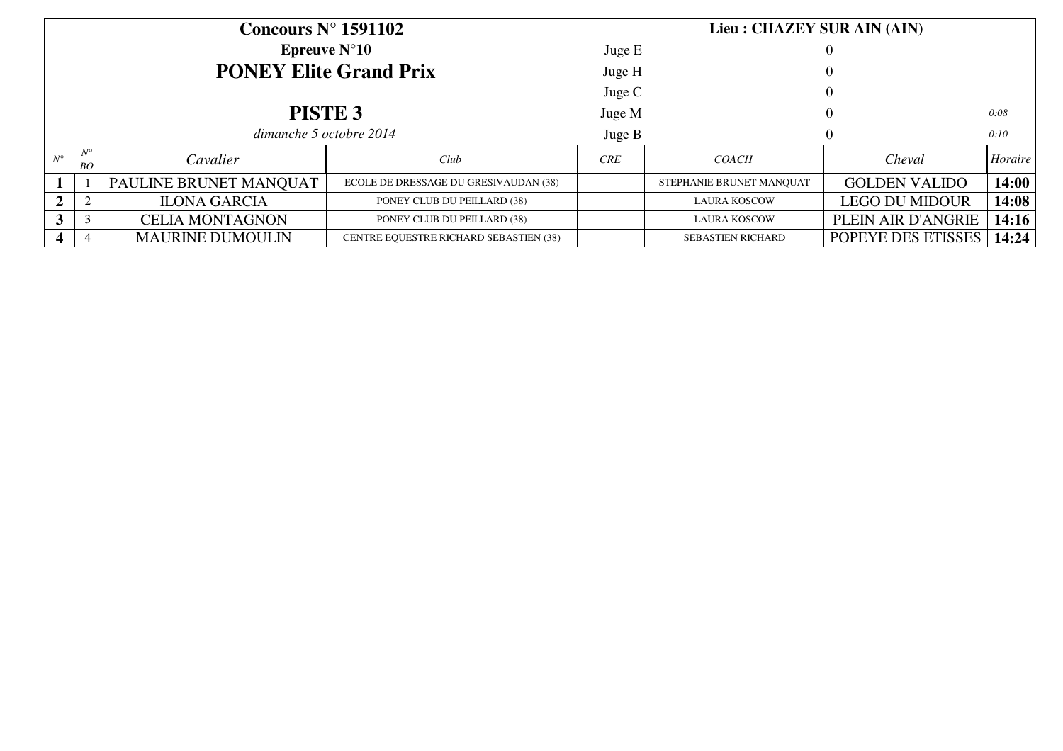| Concours $N^{\circ}$ 1591102            |                   |                         |                                        |            | Lieu : CHAZEY SUR AIN (AIN) |                       |                      |  |  |
|-----------------------------------------|-------------------|-------------------------|----------------------------------------|------------|-----------------------------|-----------------------|----------------------|--|--|
| <b>Epreuve <math>N^{\circ}10</math></b> |                   |                         |                                        | Juge E     |                             | $\left($              |                      |  |  |
| <b>PONEY Elite Grand Prix</b>           |                   |                         |                                        | Juge H     |                             |                       |                      |  |  |
|                                         |                   |                         |                                        | Juge C     |                             | $\theta$              |                      |  |  |
| PISTE <sub>3</sub>                      |                   |                         |                                        | Juge M     |                             |                       | 0:08                 |  |  |
| dimanche 5 octobre 2014                 |                   |                         |                                        | Juge B     |                             |                       | 0:10                 |  |  |
| $N^{\circ}$                             | $N^{\circ}$<br>BO | Cavalier                | Club                                   | <b>CRE</b> | <i>COACH</i>                | Cheval                | Horaire <sup>1</sup> |  |  |
|                                         |                   | PAULINE BRUNET MANQUAT  | ECOLE DE DRESSAGE DU GRESIVAUDAN (38)  |            | STEPHANIE BRUNET MANOUAT    | <b>GOLDEN VALIDO</b>  | 14:00                |  |  |
| $\mathbf{2}$                            | 2                 | <b>ILONA GARCIA</b>     | PONEY CLUB DU PEILLARD (38)            |            | <b>LAURA KOSCOW</b>         | <b>LEGO DU MIDOUR</b> | 14:08                |  |  |
| 3                                       | 3                 | <b>CELIA MONTAGNON</b>  | PONEY CLUB DU PEILLARD (38)            |            | <b>LAURA KOSCOW</b>         | PLEIN AIR D'ANGRIE    | 14:16                |  |  |
|                                         |                   | <b>MAURINE DUMOULIN</b> | CENTRE EQUESTRE RICHARD SEBASTIEN (38) |            | <b>SEBASTIEN RICHARD</b>    | POPEYE DES ETISSES    | 14:24                |  |  |